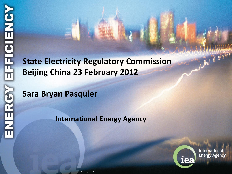**State Electricity Regulatory Commission Beijing China 23 February 2012**

**Sara Bryan Pasquier**

**International Energy Agency**



**International Energy Agency** 

AMARKANING BARA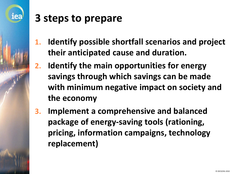

### **3 steps to prepare**

- **1. Identify possible shortfall scenarios and project their anticipated cause and duration.**
- **2. Identify the main opportunities for energy savings through which savings can be made with minimum negative impact on society and the economy**
- **3. Implement a comprehensive and balanced package of energy-saving tools (rationing, pricing, information campaigns, technology replacement)**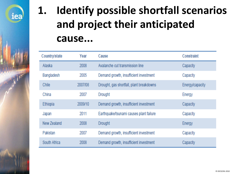

# **1. Identify possible shortfall scenarios and project their anticipated cause...**

| Country/state | Year    | Cause                                    | Constraint      |
|---------------|---------|------------------------------------------|-----------------|
| Alaska        | 2008    | Avalanche cut transmission line          | Capacity        |
| Bangladesh    | 2005    | Demand growth, insufficient investment   | Capacity        |
| Chile         | 2007/08 | Drought, gas shortfall, plant breakdowns | Energy/capacity |
| China         | 2007    | <b>Drought</b>                           | Energy          |
| Ethiopia      | 2009/10 | Demand growth, insufficient investment   | Capacity        |
| Japan         | 2011    | Earthquake/tsunami causes plant failure  | Capacity        |
| New Zealand   | 2008    | <b>Drought</b>                           | Energy          |
| Pakistan      | 2007    | Demand growth, insufficient investment   | Capacity        |
| South Africa  | 2008    | Demand growth, insufficient investment   | Capacity        |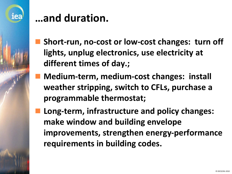

### **…and duration.**

- **Short-run, no-cost or low-cost changes: turn off lights, unplug electronics, use electricity at different times of day.;**
- **Medium-term, medium-cost changes: install weather stripping, switch to CFLs, purchase a programmable thermostat;**
- **Long-term, infrastructure and policy changes: make window and building envelope improvements, strengthen energy-performance requirements in building codes.**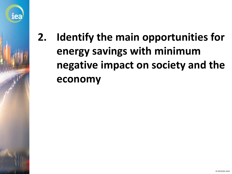

## **2. Identify the main opportunities for energy savings with minimum negative impact on society and the economy**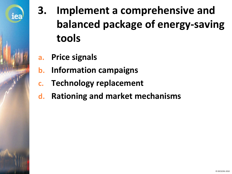

# **3. Implement a comprehensive and balanced package of energy-saving tools**

- **a. Price signals**
- **b. Information campaigns**
- **c. Technology replacement**
- **d. Rationing and market mechanisms**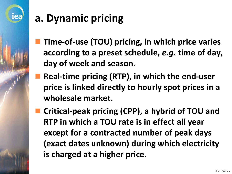

# **a. Dynamic pricing**

- **Time-of-use (TOU) pricing, in which price varies according to a preset schedule,** *e.g.* **time of day, day of week and season.**
- **Real-time pricing (RTP), in which the end-user price is linked directly to hourly spot prices in a wholesale market.**
- **Critical-peak pricing (CPP), a hybrid of TOU and RTP in which a TOU rate is in effect all year except for a contracted number of peak days (exact dates unknown) during which electricity is charged at a higher price.**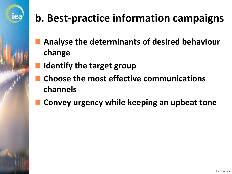

# **b. Best-practice information campaigns**

- **Analyse the determinants of desired behaviour change**
- **Identify the target group**
- **Choose the most effective communications channels**
- **Convey urgency while keeping an upbeat tone**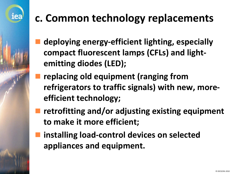# iea

# **c. Common technology replacements**

- **deploying energy-efficient lighting, especially compact fluorescent lamps (CFLs) and lightemitting diodes (LED);**
- **replacing old equipment (ranging from refrigerators to traffic signals) with new, moreefficient technology;**
- **retrofitting and/or adjusting existing equipment to make it more efficient;**
- **installing load-control devices on selected appliances and equipment.**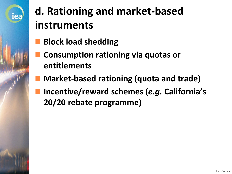

# **d. Rationing and market-based instruments**

- **Block load shedding**
- **Consumption rationing via quotas or entitlements**
- **Market-based rationing (quota and trade)**
- **Incentive/reward schemes (***e.g.* **California's 20/20 rebate programme)**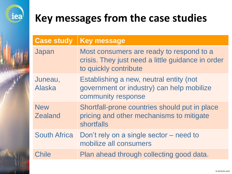

### **Key messages from the case studies**

| <b>Case study</b>            | <b>Key message</b>                                                                                                     |
|------------------------------|------------------------------------------------------------------------------------------------------------------------|
| Japan                        | Most consumers are ready to respond to a<br>crisis. They just need a little guidance in order<br>to quickly contribute |
| Juneau,<br><b>Alaska</b>     | Establishing a new, neutral entity (not<br>government or industry) can help mobilize<br>community response             |
| <b>New</b><br><b>Zealand</b> | Shortfall-prone countries should put in place<br>pricing and other mechanisms to mitigate<br><b>shortfalls</b>         |
| <b>South Africa</b>          | Don't rely on a single sector – need to<br>mobilize all consumers                                                      |
| <b>Chile</b>                 | Plan ahead through collecting good data.                                                                               |